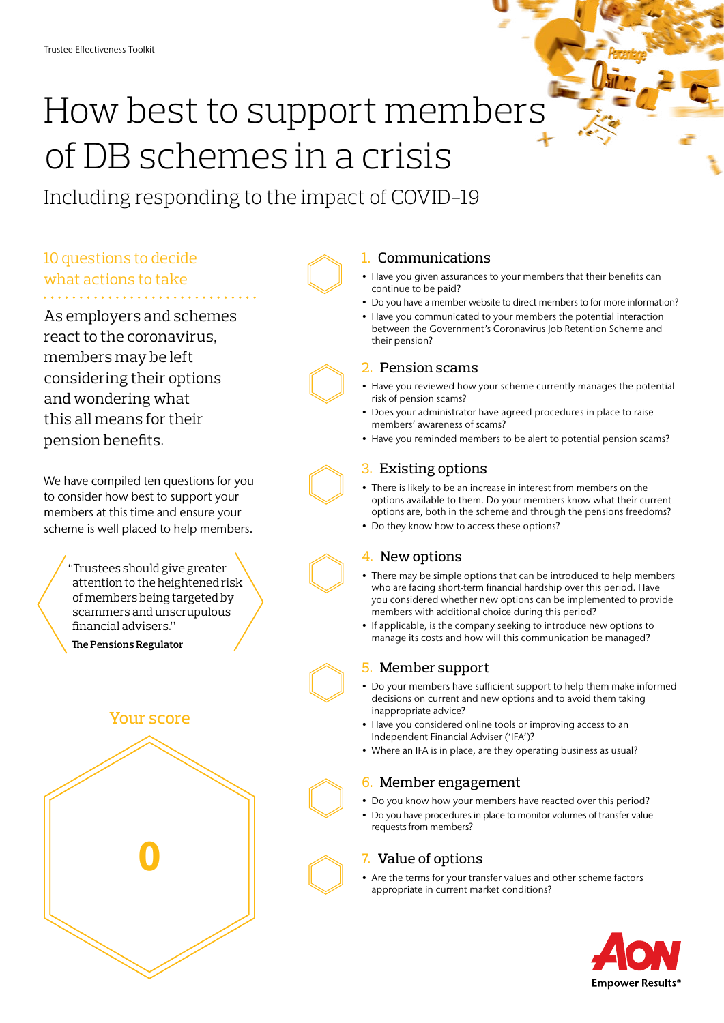# How best to support members of DB schemes in a crisis

Including responding to the impact of COVID-19

# 10 questions to decide what actions to take

As employers and schemes react to the coronavirus, members may be left considering their options and wondering what this all means for their pension benefits.

We have compiled ten questions for you to consider how best to support your members at this time and ensure your scheme is well placed to help members.

> "Trustees should give greater attention to the heightened risk of members being targeted by scammers and unscrupulous financial advisers."

**The Pensions Regulator**

## Your score



### 1. Communications

- Have you given assurances to your members that their benefits can continue to be paid?
- Do you have a member website to direct members to for more information?
- Have you communicated to your members the potential interaction between the Government's Coronavirus Job Retention Scheme and their pension?

#### 2. Pension scams

- Have you reviewed how your scheme currently manages the potential risk of pension scams?
- Does your administrator have agreed procedures in place to raise members' awareness of scams?
- Have you reminded members to be alert to potential pension scams?

#### 3. Existing options

- There is likely to be an increase in interest from members on the options available to them. Do your members know what their current options are, both in the scheme and through the pensions freedoms?
- Do they know how to access these options?

#### 4. New options

- There may be simple options that can be introduced to help members who are facing short-term financial hardship over this period. Have you considered whether new options can be implemented to provide members with additional choice during this period?
- If applicable, is the company seeking to introduce new options to manage its costs and how will this communication be managed?

#### 5. Member support

- Do your members have sufficient support to help them make informed decisions on current and new options and to avoid them taking inappropriate advice?
- Have you considered online tools or improving access to an Independent Financial Adviser ('IFA')?
- Where an IFA is in place, are they operating business as usual?

#### 6. Member engagement

- Do you know how your members have reacted over this period?
- Do you have procedures in place to monitor volumes of transfer value requests from members?

#### 7. Value of options

• Are the terms for your transfer values and other scheme factors appropriate in current market conditions?